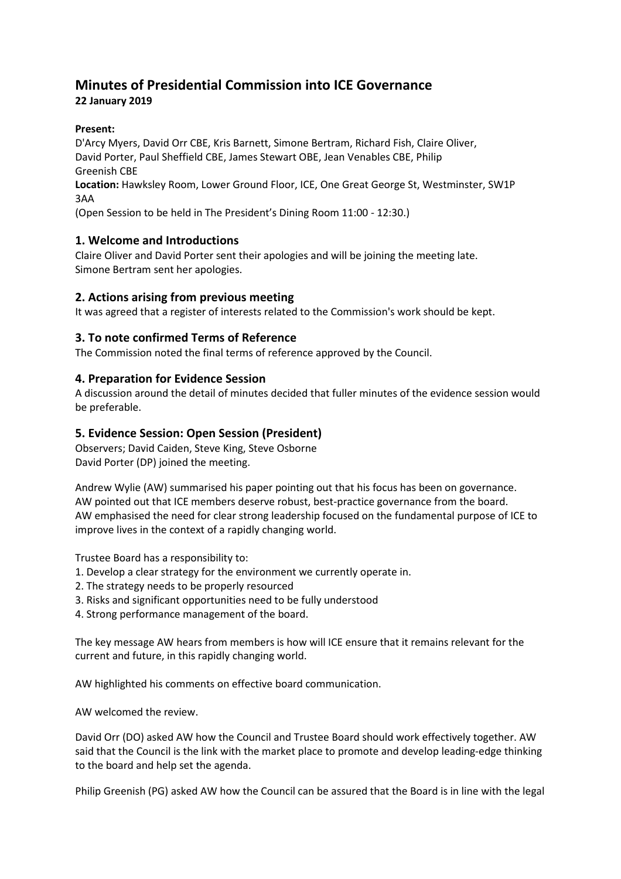# **Minutes of Presidential Commission into ICE Governance**

# **22 January 2019**

## **Present:**

D'Arcy Myers, David Orr CBE, Kris Barnett, Simone Bertram, Richard Fish, Claire Oliver, David Porter, Paul Sheffield CBE, James Stewart OBE, Jean Venables CBE, Philip Greenish CBE

**Location:** Hawksley Room, Lower Ground Floor, ICE, One Great George St, Westminster, SW1P 3AA

(Open Session to be held in The President's Dining Room 11:00 - 12:30.)

## **1. Welcome and Introductions**

Claire Oliver and David Porter sent their apologies and will be joining the meeting late. Simone Bertram sent her apologies.

## **2. Actions arising from previous meeting**

It was agreed that a register of interests related to the Commission's work should be kept.

## **3. To note confirmed Terms of Reference**

The Commission noted the final terms of reference approved by the Council.

## **4. Preparation for Evidence Session**

A discussion around the detail of minutes decided that fuller minutes of the evidence session would be preferable.

## **5. Evidence Session: Open Session (President)**

Observers; David Caiden, Steve King, Steve Osborne David Porter (DP) joined the meeting.

Andrew Wylie (AW) summarised his paper pointing out that his focus has been on governance. AW pointed out that ICE members deserve robust, best-practice governance from the board. AW emphasised the need for clear strong leadership focused on the fundamental purpose of ICE to improve lives in the context of a rapidly changing world.

Trustee Board has a responsibility to:

- 1. Develop a clear strategy for the environment we currently operate in.
- 2. The strategy needs to be properly resourced
- 3. Risks and significant opportunities need to be fully understood
- 4. Strong performance management of the board.

The key message AW hears from members is how will ICE ensure that it remains relevant for the current and future, in this rapidly changing world.

AW highlighted his comments on effective board communication.

AW welcomed the review.

David Orr (DO) asked AW how the Council and Trustee Board should work effectively together. AW said that the Council is the link with the market place to promote and develop leading-edge thinking to the board and help set the agenda.

Philip Greenish (PG) asked AW how the Council can be assured that the Board is in line with the legal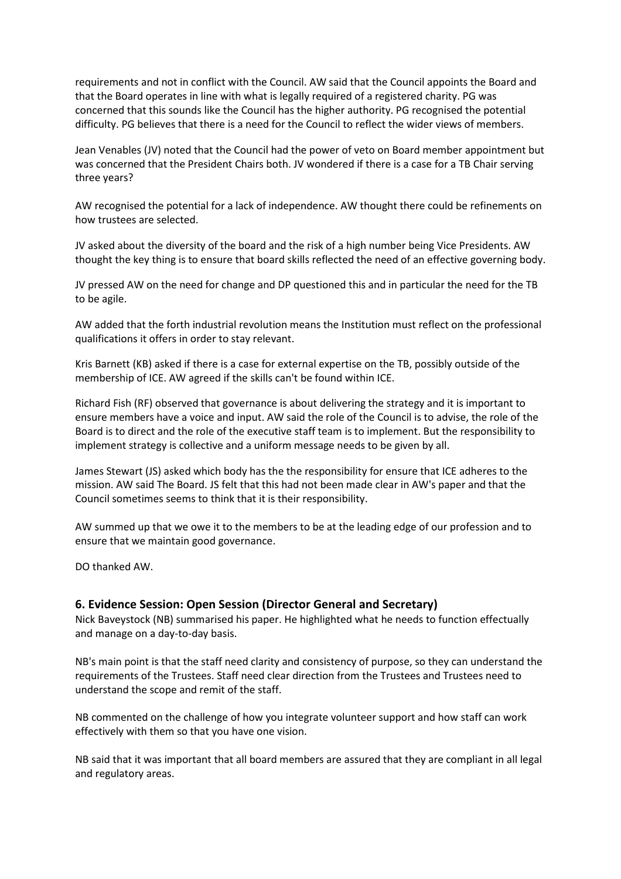requirements and not in conflict with the Council. AW said that the Council appoints the Board and that the Board operates in line with what is legally required of a registered charity. PG was concerned that this sounds like the Council has the higher authority. PG recognised the potential difficulty. PG believes that there is a need for the Council to reflect the wider views of members.

Jean Venables (JV) noted that the Council had the power of veto on Board member appointment but was concerned that the President Chairs both. JV wondered if there is a case for a TB Chair serving three years?

AW recognised the potential for a lack of independence. AW thought there could be refinements on how trustees are selected.

JV asked about the diversity of the board and the risk of a high number being Vice Presidents. AW thought the key thing is to ensure that board skills reflected the need of an effective governing body.

JV pressed AW on the need for change and DP questioned this and in particular the need for the TB to be agile.

AW added that the forth industrial revolution means the Institution must reflect on the professional qualifications it offers in order to stay relevant.

Kris Barnett (KB) asked if there is a case for external expertise on the TB, possibly outside of the membership of ICE. AW agreed if the skills can't be found within ICE.

Richard Fish (RF) observed that governance is about delivering the strategy and it is important to ensure members have a voice and input. AW said the role of the Council is to advise, the role of the Board is to direct and the role of the executive staff team is to implement. But the responsibility to implement strategy is collective and a uniform message needs to be given by all.

James Stewart (JS) asked which body has the the responsibility for ensure that ICE adheres to the mission. AW said The Board. JS felt that this had not been made clear in AW's paper and that the Council sometimes seems to think that it is their responsibility.

AW summed up that we owe it to the members to be at the leading edge of our profession and to ensure that we maintain good governance.

DO thanked AW.

## **6. Evidence Session: Open Session (Director General and Secretary)**

Nick Baveystock (NB) summarised his paper. He highlighted what he needs to function effectually and manage on a day-to-day basis.

NB's main point is that the staff need clarity and consistency of purpose, so they can understand the requirements of the Trustees. Staff need clear direction from the Trustees and Trustees need to understand the scope and remit of the staff.

NB commented on the challenge of how you integrate volunteer support and how staff can work effectively with them so that you have one vision.

NB said that it was important that all board members are assured that they are compliant in all legal and regulatory areas.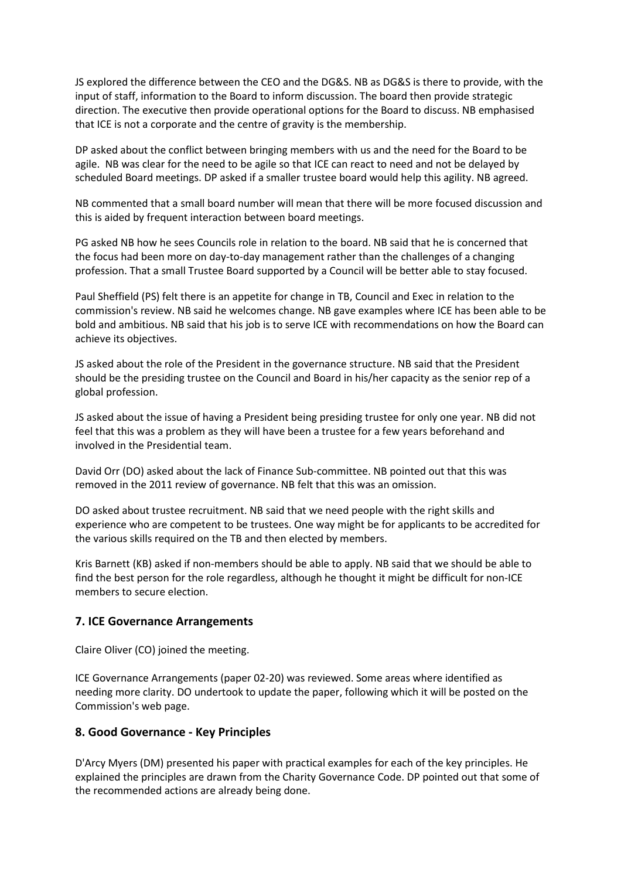JS explored the difference between the CEO and the DG&S. NB as DG&S is there to provide, with the input of staff, information to the Board to inform discussion. The board then provide strategic direction. The executive then provide operational options for the Board to discuss. NB emphasised that ICE is not a corporate and the centre of gravity is the membership.

DP asked about the conflict between bringing members with us and the need for the Board to be agile. NB was clear for the need to be agile so that ICE can react to need and not be delayed by scheduled Board meetings. DP asked if a smaller trustee board would help this agility. NB agreed.

NB commented that a small board number will mean that there will be more focused discussion and this is aided by frequent interaction between board meetings.

PG asked NB how he sees Councils role in relation to the board. NB said that he is concerned that the focus had been more on day-to-day management rather than the challenges of a changing profession. That a small Trustee Board supported by a Council will be better able to stay focused.

Paul Sheffield (PS) felt there is an appetite for change in TB, Council and Exec in relation to the commission's review. NB said he welcomes change. NB gave examples where ICE has been able to be bold and ambitious. NB said that his job is to serve ICE with recommendations on how the Board can achieve its objectives.

JS asked about the role of the President in the governance structure. NB said that the President should be the presiding trustee on the Council and Board in his/her capacity as the senior rep of a global profession.

JS asked about the issue of having a President being presiding trustee for only one year. NB did not feel that this was a problem as they will have been a trustee for a few years beforehand and involved in the Presidential team.

David Orr (DO) asked about the lack of Finance Sub-committee. NB pointed out that this was removed in the 2011 review of governance. NB felt that this was an omission.

DO asked about trustee recruitment. NB said that we need people with the right skills and experience who are competent to be trustees. One way might be for applicants to be accredited for the various skills required on the TB and then elected by members.

Kris Barnett (KB) asked if non-members should be able to apply. NB said that we should be able to find the best person for the role regardless, although he thought it might be difficult for non-ICE members to secure election.

### **7. ICE Governance Arrangements**

Claire Oliver (CO) joined the meeting.

ICE Governance Arrangements (paper 02-20) was reviewed. Some areas where identified as needing more clarity. DO undertook to update the paper, following which it will be posted on the Commission's web page.

#### **8. Good Governance - Key Principles**

D'Arcy Myers (DM) presented his paper with practical examples for each of the key principles. He explained the principles are drawn from the Charity Governance Code. DP pointed out that some of the recommended actions are already being done.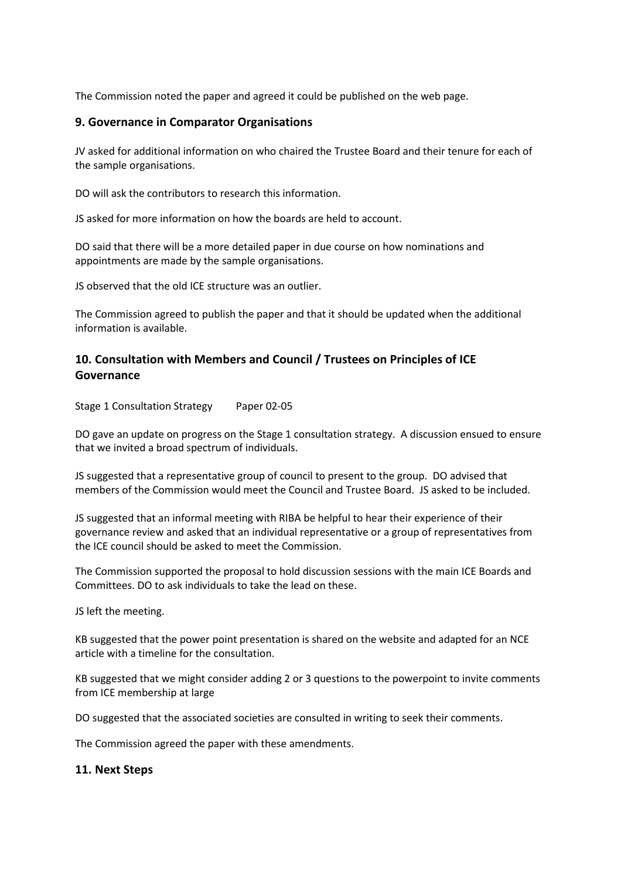The Commission noted the paper and agreed it could be published on the web page.

## **9. Governance in Comparator Organisations**

JV asked for additional information on who chaired the Trustee Board and their tenure for each of the sample organisations.

DO will ask the contributors to research this information.

JS asked for more information on how the boards are held to account.

DO said that there will be a more detailed paper in due course on how nominations and appointments are made by the sample organisations.

JS observed that the old ICE structure was an outlier.

The Commission agreed to publish the paper and that it should be updated when the additional information is available.

## **10. Consultation with Members and Council / Trustees on Principles of ICE Governance**

Stage 1 Consultation Strategy Paper 02-05

DO gave an update on progress on the Stage 1 consultation strategy. A discussion ensued to ensure that we invited a broad spectrum of individuals.

JS suggested that a representative group of council to present to the group. DO advised that members of the Commission would meet the Council and Trustee Board. JS asked to be included.

JS suggested that an informal meeting with RIBA be helpful to hear their experience of their governance review and asked that an individual representative or a group of representatives from the ICE council should be asked to meet the Commission.

The Commission supported the proposal to hold discussion sessions with the main ICE Boards and Committees. DO to ask individuals to take the lead on these.

JS left the meeting.

KB suggested that the power point presentation is shared on the website and adapted for an NCE article with a timeline for the consultation.

KB suggested that we might consider adding 2 or 3 questions to the powerpoint to invite comments from ICE membership at large

DO suggested that the associated societies are consulted in writing to seek their comments.

The Commission agreed the paper with these amendments.

#### **11. Next Steps**